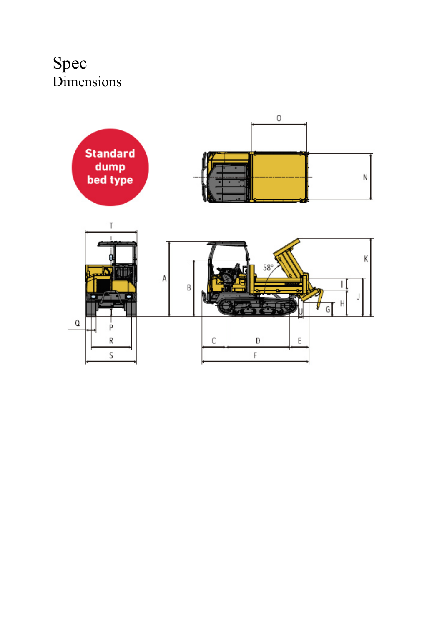Spec Dimensions

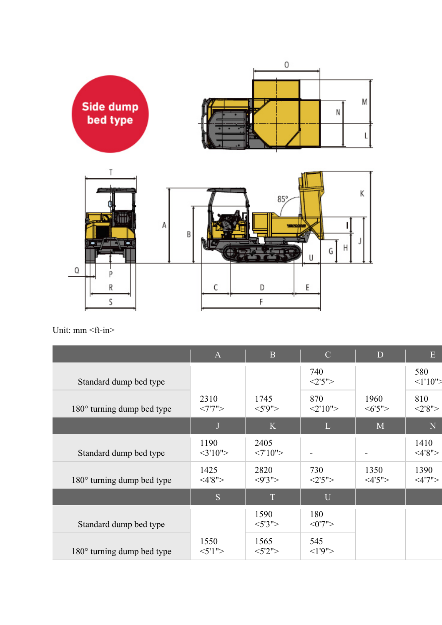



## Unit: mm <ft-in>

|                                   | $\mathbf{A}$      | $\mathbf{B}$      | $\mathbf C$      | D               | E                 |
|-----------------------------------|-------------------|-------------------|------------------|-----------------|-------------------|
| Standard dump bed type            |                   |                   | 740<br><2'5''>   |                 | 580<br>1'10"      |
| $180^\circ$ turning dump bed type | 2310<br><7'7''>   | 1745<br>$<$ 5'9"> | 870<br><2'10''>  | 1960<br><6'5">  | 810<br><2'8">     |
|                                   | J                 | K                 | L                | M               | N                 |
| Standard dump bed type            | 1190<br>3'10''    | 2405<br><7'10''>  |                  |                 | 1410<br>$<$ 4'8"> |
| $180^\circ$ turning dump bed type | 1425<br>$<$ 4'8"> | 2820<br>$<$ 9'3"> | 730<br><2'5''>   | 1350<br><4'5''> | 1390<br>$<$ 4'7"> |
|                                   | S                 | T                 | $\mathbf U$      |                 |                   |
| Standard dump bed type            |                   | 1590<br><5'3''>   | 180<br><0'7''>   |                 |                   |
| $180^\circ$ turning dump bed type | 1550<br>5'1"      | 1565<br><5'2"     | 545<br>$<$ 1'9"> |                 |                   |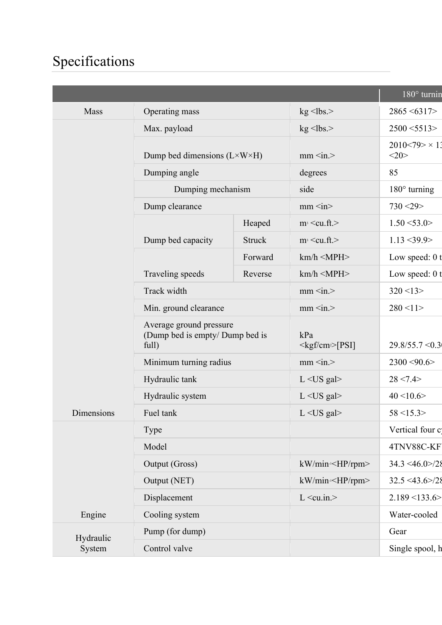## Specifications

|                     |                                                                     |               |                                              | $180^\circ$ turnin          |
|---------------------|---------------------------------------------------------------------|---------------|----------------------------------------------|-----------------------------|
| Mass                | Operating mass                                                      |               | $kg$ <lbs.></lbs.>                           | $2865 \le 6317$             |
|                     | Max. payload                                                        |               | $kg$ <lbs.></lbs.>                           | $2500 \le 5513$             |
|                     | Dump bed dimensions $(L \times W \times H)$                         |               | mm < in.                                     | $2010<79> \times 13$<br><20 |
|                     | Dumping angle                                                       |               | degrees                                      | 85                          |
|                     | Dumping mechanism                                                   |               | side                                         | $180^\circ$ turning         |
|                     | Dump clearance                                                      |               | mm < in>                                     | 730 < 29                    |
|                     | Dump bed capacity                                                   | Heaped        | $m3 <$ cu.ft.>                               | $1.50 \le 53.0$             |
|                     |                                                                     | <b>Struck</b> | $m^3$ < cu.ft. >                             | 1.13 < 39.9                 |
|                     |                                                                     | Forward       | km/h < MPH                                   | Low speed: 0 t              |
|                     | Traveling speeds                                                    | Reverse       | km/h < MPH                                   | Low speed: 0 t              |
|                     | Track width                                                         |               | mm < in.                                     | 320 < 13                    |
|                     | Min. ground clearance                                               |               | mm < in.                                     | 280 < 11                    |
|                     | Average ground pressure<br>(Dump bed is empty/ Dump bed is<br>full) |               | kPa<br>$\langle \text{kgf/cm} \rangle$ [PSI] | 29.8/55.7 < 0.3             |
|                     | Minimum turning radius                                              |               | mm < in.                                     | 2300 < 90.6                 |
|                     | Hydraulic tank                                                      |               | L < US gal                                   | 28 < 7.4 >                  |
|                     | Hydraulic system                                                    |               | L < US gal                                   | 40 < 10.6                   |
| Dimensions          | Fuel tank                                                           |               | L < US gal                                   | 58 < 15.3                   |
|                     | Type                                                                |               |                                              | Vertical four c             |
|                     | Model                                                               |               |                                              | 4TNV88C-KF                  |
|                     | Output (Gross)                                                      |               | kW/min- <hp rpm=""></hp>                     | 34.3 < 46.0 > 28            |
|                     | Output (NET)                                                        |               | kW/min- <hp rpm=""></hp>                     | 32.5 < 43.6 > 28            |
|                     | Displacement                                                        |               | $L <$ cu.in. $>$                             | 2.189 < 133.6               |
| Engine              | Cooling system                                                      |               |                                              | Water-cooled                |
| Hydraulic<br>System | Pump (for dump)                                                     |               |                                              | Gear                        |
|                     | Control valve                                                       |               |                                              | Single spool, h             |